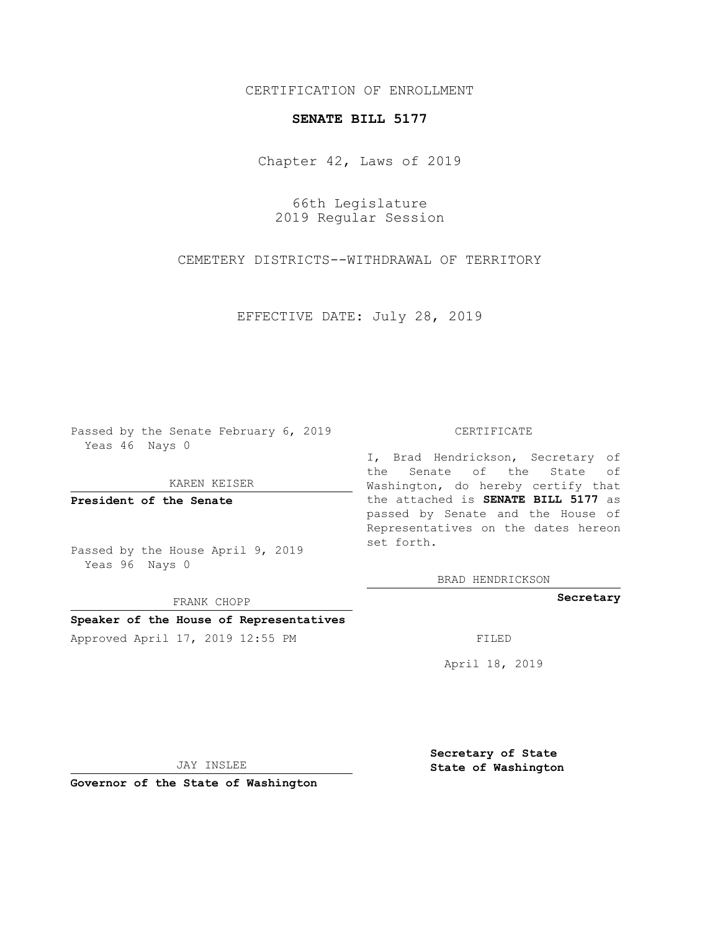## CERTIFICATION OF ENROLLMENT

## **SENATE BILL 5177**

Chapter 42, Laws of 2019

66th Legislature 2019 Regular Session

CEMETERY DISTRICTS--WITHDRAWAL OF TERRITORY

EFFECTIVE DATE: July 28, 2019

Passed by the Senate February 6, 2019 Yeas 46 Nays 0

KAREN KEISER

**President of the Senate**

Passed by the House April 9, 2019 Yeas 96 Nays 0

FRANK CHOPP

## **Speaker of the House of Representatives**

Approved April 17, 2019 12:55 PM

## CERTIFICATE

I, Brad Hendrickson, Secretary of the Senate of the State of Washington, do hereby certify that the attached is **SENATE BILL 5177** as passed by Senate and the House of Representatives on the dates hereon set forth.

BRAD HENDRICKSON

**Secretary**

April 18, 2019

JAY INSLEE

**Governor of the State of Washington**

**Secretary of State State of Washington**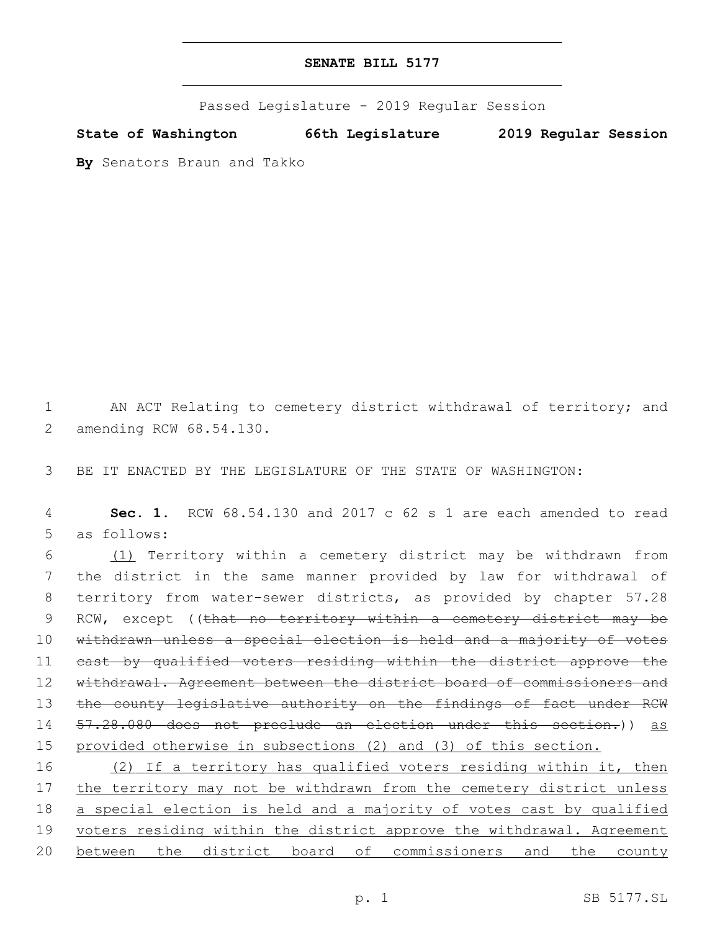Passed Legislature - 2019 Regular Session

**State of Washington 66th Legislature 2019 Regular Session**

**By** Senators Braun and Takko

1 AN ACT Relating to cemetery district withdrawal of territory; and 2 amending RCW 68.54.130.

3 BE IT ENACTED BY THE LEGISLATURE OF THE STATE OF WASHINGTON:

4 **Sec. 1.** RCW 68.54.130 and 2017 c 62 s 1 are each amended to read 5 as follows:

6 (1) Territory within a cemetery district may be withdrawn from 7 the district in the same manner provided by law for withdrawal of 8 territory from water-sewer districts, as provided by chapter 57.28 9 RCW, except ((that no territory within a cemetery district may be 10 withdrawn unless a special election is held and a majority of votes 11 cast by qualified voters residing within the district approve the 12 withdrawal. Agreement between the district board of commissioners and 13 the county legislative authority on the findings of fact under RCW 14 57.28.080 does not preclude an election under this section.)) as 15 provided otherwise in subsections (2) and (3) of this section.

16 (2) If a territory has qualified voters residing within it, then 17 the territory may not be withdrawn from the cemetery district unless 18 a special election is held and a majority of votes cast by qualified 19 voters residing within the district approve the withdrawal. Agreement 20 between the district board of commissioners and the county